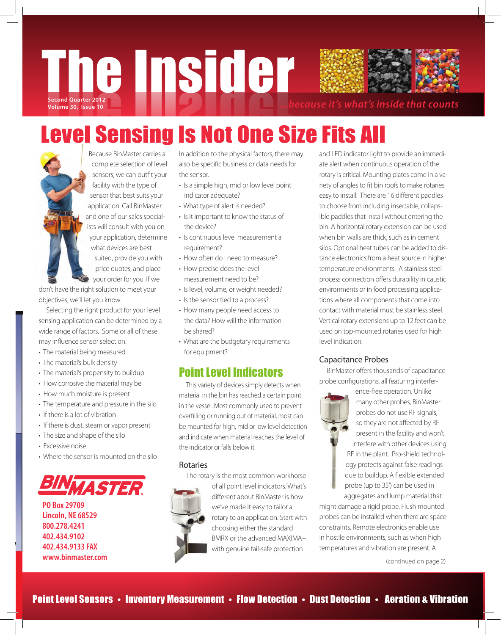

# Level Sensing Is Not One Size Fits All

Because BinMaster carries a complete selection of level sensors, we can outfit your facility with the type of sensor that best suits your application. Call BinMaster and one of our sales specialists will consult with you on your application, determine what devices are best suited, provide you with price quotes, and place your order for you. If we

don't have the right solution to meet your objectives, we'll let you know.

 Selecting the right product for your level sensing application can be determined by a wide range of factors. Some or all of these may influence sensor selection.

- The material being measured
- The material's bulk density
- The material's propensity to buildup
- How corrosive the material may be
- How much moisture is present
- The temperature and pressure in the silo
- If there is a lot of vibration
- If there is dust, steam or vapor present
- The size and shape of the silo
- Excessive noise
- Where the sensor is mounted on the silo



**PO Box 29709 Lincoln, NE 68529 800.278.4241 402.434.9102 402.434.9133 FAX www.binmaster.com** In addition to the physical factors, there may also be specific business or data needs for the sensor.

- Is a simple high, mid or low level point indicator adequate?
- What type of alert is needed?
- Is it important to know the status of the device?
- Is continuous level measurement a requirement?
- How often do I need to measure?
- How precise does the level measurement need to be?
- Is level, volume, or weight needed?
- Is the sensor tied to a process?
- How many people need access to the data? How will the information be shared?
- What are the budgetary requirements for equipment?

# Point Level Indicators

 This variety of devices simply detects when material in the bin has reached a certain point in the vessel. Most commonly used to prevent overfilling or running out of material, most can be mounted for high, mid or low level detection and indicate when material reaches the level of the indicator or falls below it.

#### Rotaries

The rotary is the most common workhorse



of all point level indicators. What's different about BinMaster is how we've made it easy to tailor a rotary to an application. Start with choosing either the standard BMRX or the advanced MAXIMA+ with genuine fail-safe protection

and LED indicator light to provide an immediate alert when continuous operation of the rotary is critical. Mounting plates come in a variety of angles to fit bin roofs to make rotaries easy to install. There are 16 different paddles to choose from including insertable, collapsible paddles that install without entering the bin. A horizontal rotary extension can be used when bin walls are thick, such as in cement silos. Optional heat tubes can be added to distance electronics from a heat source in higher temperature environments. A stainless steel process connection offers durability in caustic environments or in food processing applications where all components that come into contact with material must be stainless steel. Vertical rotary extensions up to 12 feet can be used on top-mounted rotaries used for high level indication.

# Capacitance Probes

 BinMaster offers thousands of capacitance probe configurations, all featuring interfer-



ence-free operation. Unlike many other probes, BinMaster probes do not use RF signals, so they are not affected by RF present in the facility and won't interfere with other devices using RF in the plant. Pro-shield technology protects against false readings due to buildup. A flexible extended probe (up to 35') can be used in aggregates and lump material that

might damage a rigid probe. Flush mounted probes can be installed when there are space constraints. Remote electronics enable use in hostile environments, such as when high temperatures and vibration are present. A

(continued on page 2)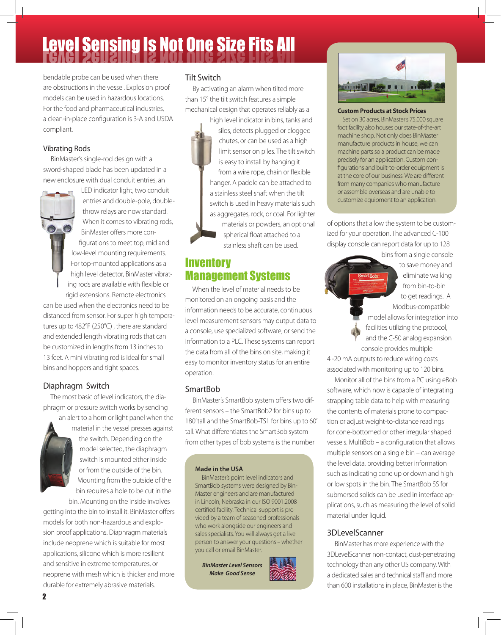# **Level Sensing Is Not One Size Fits All**

bendable probe can be used when there are obstructions in the vessel. Explosion proof models can be used in hazardous locations. For the food and pharmaceutical industries, a clean-in-place configuration is 3-A and USDA compliant.

### Vibrating Rods

 BinMaster's single-rod design with a sword-shaped blade has been updated in a new enclosure with dual conduit entries, an



LED indicator light, two conduit entries and double-pole, doublethrow relays are now standard. When it comes to vibrating rods, BinMaster offers more configurations to meet top, mid and low-level mounting requirements. For top-mounted applications as a high level detector, BinMaster vibrating rods are available with flexible or

rigid extensions. Remote electronics can be used when the electronics need to be distanced from sensor. For super high temperatures up to 482°F (250°C) , there are standard and extended length vibrating rods that can be customized in lengths from 13 inches to 13 feet. A mini vibrating rod is ideal for small bins and hoppers and tight spaces.

# Diaphragm Switch

 The most basic of level indicators, the diaphragm or pressure switch works by sending

> an alert to a horn or light panel when the material in the vessel presses against the switch. Depending on the model selected, the diaphragm switch is mounted either inside or from the outside of the bin. Mounting from the outside of the bin requires a hole to be cut in the

bin. Mounting on the inside involves getting into the bin to install it. BinMaster offers models for both non-hazardous and explosion proof applications. Diaphragm materials include neoprene which is suitable for most applications, silicone which is more resilient and sensitive in extreme temperatures, or neoprene with mesh which is thicker and more durable for extremely abrasive materials.

### Tilt Switch

 By activating an alarm when tilted more than 15° the tilt switch features a simple mechanical design that operates reliably as a

high level indicator in bins, tanks and silos, detects plugged or clogged chutes, or can be used as a high limit sensor on piles. The tilt switch is easy to install by hanging it from a wire rope, chain or flexible hanger. A paddle can be attached to a stainless steel shaft when the tilt switch is used in heavy materials such as aggregates, rock, or coal. For lighter materials or powders, an optional spherical float attached to a stainless shaft can be used.

# **Inventory** Management Systems

 When the level of material needs to be monitored on an ongoing basis and the information needs to be accurate, continuous level measurement sensors may output data to a console, use specialized software, or send the information to a PLC. These systems can report the data from all of the bins on site, making it easy to monitor inventory status for an entire operation.

# SmartBob

 BinMaster's SmartBob system offers two different sensors – the SmartBob2 for bins up to 180' tall and the SmartBob-TS1 for bins up to 60' tall. What differentiates the SmartBob system from other types of bob systems is the number

#### **Made in the USA**

 BinMaster's point level indicators and SmartBob systems were designed by Bin-Master engineers and are manufactured in Lincoln, Nebraska in our ISO 9001:2008 certified facility. Technical support is provided by a team of seasoned professionals who work alongside our engineers and sales specialists. You will always get a live person to answer your questions – whether you call or email BinMaster.

*BinMaster Level Sensors Make Good Sense*





**Custom Products at Stock Prices** Set on 30 acres, BinMaster's 75,000 square foot facility also houses our state-of-the-art machine shop. Not only does BinMaster

manufacture products in house, we can machine parts so a product can be made precisely for an application. Custom configurations and built-to-order equipment is at the core of our business. We are different from many companies who manufacture or assemble overseas and are unable to customize equipment to an application.

of options that allow the system to be customized for your operation. The advanced C-100 display console can report data for up to 128

> bins from a single console martBob to get readings. A

to save money and eliminate walking from bin-to-bin

Modbus-compatible model allows for integration into facilities utilizing the protocol, and the C-50 analog expansion

console provides multiple

4 -20 mA outputs to reduce wiring costs associated with monitoring up to 120 bins.

 Monitor all of the bins from a PC using eBob software, which now is capable of integrating strapping table data to help with measuring the contents of materials prone to compaction or adjust weight-to-distance readings for cone-bottomed or other irregular shaped vessels. MultiBob – a configuration that allows multiple sensors on a single bin – can average the level data, providing better information such as indicating cone up or down and high or low spots in the bin. The SmartBob SS for submersed solids can be used in interface applications, such as measuring the level of solid material under liquid.

# 3DLevelScanner

 BinMaster has more experience with the 3DLevelScanner non-contact, dust-penetrating technology than any other US company. With a dedicated sales and technical staff and more than 600 installations in place, BinMaster is the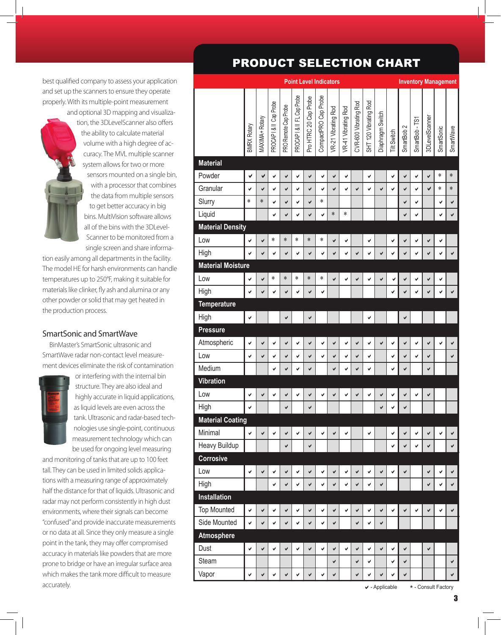best qualified company to assess your application and set up the scanners to ensure they operate properly. With its multiple-point measurement

> and optional 3D mapping and visualization, the 3DLevelScanner also offers the ability to calculate material volume with a high degree of accuracy. The MVL multiple scanner system allows for two or more sensors mounted on a single bin, with a processor that combines the data from multiple sensors to get better accuracy in big bins. MultiVision software allows all of the bins with the 3DL evel-Scanner to be monitored from a single screen and share informa-

tion easily among all departments in the facility. The model HE for harsh environments can handle temperatures up to 250°F, making it suitable for materials like clinker, fly ash and alumina or any other powder or solid that may get heated in the production process.

#### SmartSonic and SmartWave

 BinMaster's SmartSonic ultrasonic and SmartWave radar non-contact level measurement devices eliminate the risk of contamination



or interfering with the internal bin structure. They are also ideal and highly accurate in liquid applications, as liquid levels are even across the tank. Ultrasonic and radar-based technologies use single-point, continuous measurement technology which can be used for ongoing level measuring

and monitoring of tanks that are up to 100 feet tall. They can be used in limited solids applications with a measuring range of approximately half the distance for that of liquids. Ultrasonic and radar may not perform consistently in high dust environments, where their signals can become "confused" and provide inaccurate measurements or no data at all. Since they only measure a single point in the tank, they may offer compromised accuracy in materials like powders that are more prone to bridge or have an irregular surface area which makes the tank more difficult to measure accurately.

# PRODUCT SELECTION CHART

|                          | <b>Point Level Indicators</b> |                |                       |                      |                          |                       |                      |                     |                     |                       |                       |                  |                    |                       | <b>Inventory Management</b> |                |              |           |
|--------------------------|-------------------------------|----------------|-----------------------|----------------------|--------------------------|-----------------------|----------------------|---------------------|---------------------|-----------------------|-----------------------|------------------|--------------------|-----------------------|-----------------------------|----------------|--------------|-----------|
|                          | <b>BMRX Rotary</b>            | MAXIMA+ Rotary | PROCAPI& II Cap Probe | PRO Remote Cap Probe | PROCAPI& II FL Cap Probe | Pro HTRC 20 Cap Probe | CompactPRO Cap Probe | VR-21 Vibrating Rod | VR-41 Vibrating Rod | CVR-600 Vibrating Rod | SHT 120 Vibrating Rod | Diaphragm Switch | <b>Tilt Switch</b> | SmartBob <sub>2</sub> | SmartBob-TS1                | 3DLevelScanner | SmartSonic   | SmartWave |
| <b>Material</b>          |                               |                |                       |                      |                          |                       |                      |                     |                     |                       |                       |                  |                    |                       |                             |                |              |           |
| Powder                   | ✔                             | ✔              | ✔                     | ✔                    | ✔                        | ✔                     | ✔                    | ✔                   | ✔                   |                       | ✔                     |                  | V                  | ✔                     | ✔                           | ✔              | *            | $\ast$    |
| Granular                 | V                             | ✓              | V                     | ✔                    | V                        | V                     | V                    | V                   | V                   | V                     | V                     | ✔                | V                  | ✔                     | $\checkmark$                | V              | *            | $\ast$    |
| Slurry                   | *                             | $\ast$         | ✓                     | ✓                    | V                        | V                     | $\ast$               |                     |                     |                       |                       |                  |                    | ✔                     | V                           |                | ✔            | ✔         |
| Liquid                   |                               |                | V                     | ✔                    | V                        | ✔                     | V                    | $\ast$              | *                   |                       |                       |                  |                    | ✔                     | V                           |                | ✔            | ✔         |
| <b>Material Density</b>  |                               |                |                       |                      |                          |                       |                      |                     |                     |                       |                       |                  |                    |                       |                             |                |              |           |
| Low                      | V                             | V              | $\ast$                | $\ast$               | *                        | $\ast$                | *                    | ✔                   | V                   |                       | V                     |                  | V                  | $\checkmark$          | V                           | V              | ✔            |           |
| High                     | V                             | ✔              | ✓                     | ✔                    | ✓                        | ✔                     | V                    | ✔                   | $\checkmark$        | V                     | V                     | ✔                | V                  | ✔                     | V                           | ✔              | ✔            | ✔         |
| <b>Material Moisture</b> |                               |                |                       |                      |                          |                       |                      |                     |                     |                       |                       |                  |                    |                       |                             |                |              |           |
| Low                      | ✔                             | ✔              | $\ast$                | $\ast$               | *                        | $\ast$                | *                    | V                   | ✔                   | ✓                     | V                     | ✔                | ✔                  | $\checkmark$          | $\checkmark$                | V              | ✔            |           |
| High                     | V                             | ✔              | V                     | ✔                    | V                        | ✔                     | V                    |                     |                     |                       |                       |                  | V                  | ✔                     | V                           | ✔              | ✔            | ✔         |
| <b>Temperature</b>       |                               |                |                       |                      |                          |                       |                      |                     |                     |                       |                       |                  |                    |                       |                             |                |              |           |
| High                     | V                             |                |                       | ✔                    |                          | ✔                     |                      |                     |                     |                       | ✔                     |                  |                    | $\checkmark$          |                             |                |              |           |
| <b>Pressure</b>          |                               |                |                       |                      |                          |                       |                      |                     |                     |                       |                       |                  |                    |                       |                             |                |              |           |
| Atmospheric              | V                             | ✔              | V                     | ✔                    | V                        | ✔                     | V                    | ✔                   | V                   | V                     | V                     | ✔                | V                  | ✔                     | V                           | ✔              | ✔            | ✔         |
| Low                      | V                             | ✔              | V                     | ✔                    | V                        | ✔                     | V                    | ✔                   | V                   | V                     | V                     |                  | V                  | ✔                     | V                           | V              |              | ✔         |
| Medium                   |                               |                | V                     | ✔                    | ✔                        | ✔                     |                      | ✔                   | ✔                   | ✔                     | ✔                     |                  | ✔                  | ✔                     |                             | ✔              |              |           |
| <b>Vibration</b>         |                               |                |                       |                      |                          |                       |                      |                     |                     |                       |                       |                  |                    |                       |                             |                |              |           |
| Low                      | ✔                             | ✔              | V                     | ✔                    | V                        | ✔                     | V                    | ✔                   | ✔                   | ✔                     | V                     | ✔                | ✔                  | $\checkmark$          | V                           | V              |              |           |
| High                     | ✔                             |                |                       | ✔                    |                          | ✔                     |                      |                     |                     |                       |                       | ✔                | V                  | ✔                     |                             |                |              |           |
| <b>Material Coating</b>  |                               |                |                       |                      |                          |                       |                      |                     |                     |                       |                       |                  |                    |                       |                             |                |              |           |
| Minimal                  | V                             | V              | $\checkmark$          | $\checkmark$         | V                        | $\checkmark$          | V                    | $\checkmark$        | V                   |                       | $\checkmark$          |                  | V                  | $\checkmark$          | $\checkmark$                | $\checkmark$   | $\checkmark$ | ✔         |
| <b>Heavy Buildup</b>     |                               |                |                       | V                    |                          | ✔                     |                      |                     |                     |                       |                       |                  | V                  | ✔                     | V                           | V              |              | ✔         |
| Corrosive                |                               |                |                       |                      |                          |                       |                      |                     |                     |                       |                       |                  |                    |                       |                             |                |              |           |
| Low                      | ✔                             | ✔              | ✔                     | ✔                    | ✔                        | ✔                     | ✔                    | ✔                   | ✔                   | ✔                     | ✔                     | ✔                | V                  | ✔                     |                             | ✔              | ✔            | ✔         |
| High                     |                               |                | V                     | ✔                    | V                        | V                     | V                    | $\checkmark$        | V                   | $\checkmark$          | V                     | ✔                |                    |                       |                             | $\checkmark$   | ✔            | ✔         |
| <b>Installation</b>      |                               |                |                       |                      |                          |                       |                      |                     |                     |                       |                       |                  |                    |                       |                             |                |              |           |
| <b>Top Mounted</b>       | V                             | ✔              | ✔                     | ✔                    | ✔                        | $\checkmark$          | V                    | ✔                   | ✔                   | $\checkmark$          | V                     | ✔                | V                  | $\checkmark$          | V                           | V              | V            | ✔         |
| Side Mounted             | $\checkmark$                  | $\checkmark$   | V                     | ✔                    | V                        | V                     | V                    | V                   |                     | $\checkmark$          | V                     | V                |                    |                       |                             |                |              |           |
| <b>Atmosphere</b>        |                               |                |                       |                      |                          |                       |                      |                     |                     |                       |                       |                  |                    |                       |                             |                |              |           |
| Dust                     | V                             | V              | V                     | ✔                    | V                        | V                     | V                    | V                   | V                   | $\checkmark$          | V                     | V                | V                  | $\checkmark$          |                             | V              |              |           |
| Steam                    |                               |                |                       |                      |                          |                       |                      | ✔                   |                     | V                     | V                     |                  | V                  | $\checkmark$          |                             |                |              | ✔         |
| Vapor                    | ✓                             | $\checkmark$   | $\checkmark$          | ✔                    | V                        | ✔                     | V                    | $\checkmark$        |                     | $\checkmark$          | V                     | ✔                | $\checkmark$       | ✔                     |                             |                |              | ✔         |